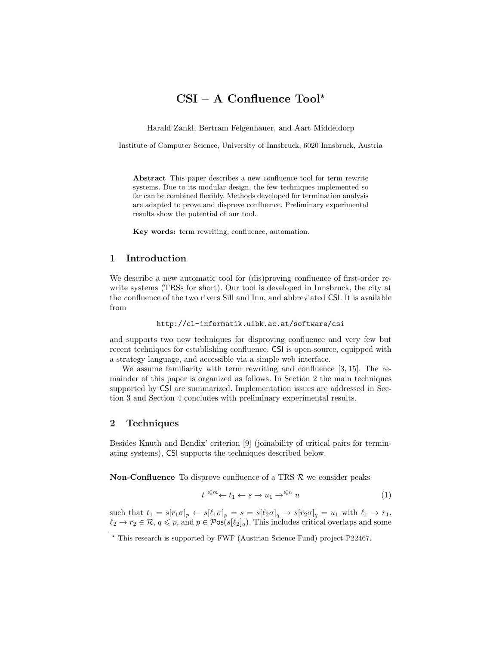# $CSI - A$  Confluence Tool<sup>\*</sup>

Harald Zankl, Bertram Felgenhauer, and Aart Middeldorp

Institute of Computer Science, University of Innsbruck, 6020 Innsbruck, Austria

Abstract This paper describes a new confluence tool for term rewrite systems. Due to its modular design, the few techniques implemented so far can be combined flexibly. Methods developed for termination analysis are adapted to prove and disprove confluence. Preliminary experimental results show the potential of our tool.

Key words: term rewriting, confluence, automation.

#### 1 Introduction

We describe a new automatic tool for (dis)proving confluence of first-order rewrite systems (TRSs for short). Our tool is developed in Innsbruck, the city at the confluence of the two rivers Sill and Inn, and abbreviated CSI. It is available from

```
http://cl-informatik.uibk.ac.at/software/csi
```
and supports two new techniques for disproving confluence and very few but recent techniques for establishing confluence. CSI is open-source, equipped with a strategy language, and accessible via a simple web interface.

We assume familiarity with term rewriting and confluence [3, 15]. The remainder of this paper is organized as follows. In Section 2 the main techniques supported by CSI are summarized. Implementation issues are addressed in Section 3 and Section 4 concludes with preliminary experimental results.

### 2 Techniques

Besides Knuth and Bendix' criterion [9] (joinability of critical pairs for terminating systems), CSI supports the techniques described below.

**Non-Confluence** To disprove confluence of a TRS  $\mathcal{R}$  we consider peaks

$$
t \stackrel{\leq m}{\leq} t_1 \leftarrow s \to u_1 \to^{\leq n} u \tag{1}
$$

such that  $t_1 = s[r_1\sigma]_p \leftarrow s[\ell_1\sigma]_p = s = s[\ell_2\sigma]_q \rightarrow s[r_2\sigma]_q = u_1$  with  $\ell_1 \rightarrow r_1$ ,  $\ell_2 \to r_2 \in \mathcal{R}, q \leq p$ , and  $p \in \mathcal{P}$ os(s $[\ell_2]_q$ ). This includes critical overlaps and some

<sup>?</sup> This research is supported by FWF (Austrian Science Fund) project P22467.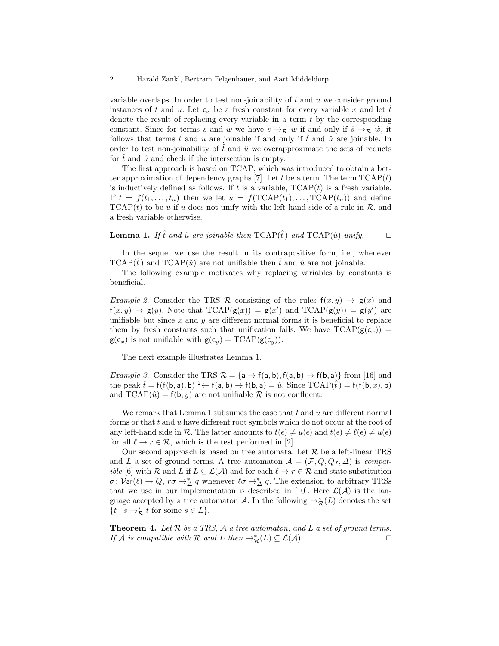variable overlaps. In order to test non-joinability of  $t$  and  $u$  we consider ground instances of t and u. Let  $c_x$  be a fresh constant for every variable x and let t denote the result of replacing every variable in a term  $t$  by the corresponding constant. Since for terms s and w we have  $s \to_R w$  if and only if  $\hat{s} \to_R \hat{w}$ , it follows that terms t and u are joinable if and only if  $\hat{t}$  and  $\hat{u}$  are joinable. In order to test non-joinability of  $\hat{t}$  and  $\hat{u}$  we overapproximate the sets of reducts for  $\hat{t}$  and  $\hat{u}$  and check if the intersection is empty.

The first approach is based on TCAP, which was introduced to obtain a better approximation of dependency graphs [7]. Let t be a term. The term  $TCAP(t)$ is inductively defined as follows. If  $t$  is a variable,  $TCAP(t)$  is a fresh variable. If  $t = f(t_1, \ldots, t_n)$  then we let  $u = f(\text{TCAP}(t_1), \ldots, \text{TCAP}(t_n))$  and define  $TCAP(t)$  to be u if u does not unify with the left-hand side of a rule in  $\mathcal{R}$ , and a fresh variable otherwise.

**Lemma 1.** If  $\hat{t}$  and  $\hat{u}$  are joinable then TCAP( $\hat{t}$ ) and TCAP( $\hat{u}$ ) unify.  $\Box$ 

In the sequel we use the result in its contrapositive form, i.e., whenever  $TCAP(t)$  and  $TCAP(\hat{u})$  are not unifiable then t and  $\hat{u}$  are not joinable.

The following example motivates why replacing variables by constants is beneficial.

Example 2. Consider the TRS R consisting of the rules  $f(x, y) \rightarrow g(x)$  and  $f(x, y) \rightarrow g(y)$ . Note that  $TCAP(g(x)) = g(x')$  and  $TCAP(g(y)) = g(y')$  are unifiable but since  $x$  and  $y$  are different normal forms it is beneficial to replace them by fresh constants such that unification fails. We have  $TCAP(g(c_x))$  =  $g(c_x)$  is not unifiable with  $g(c_y) = TCAP(g(c_y)).$ 

The next example illustrates Lemma 1.

*Example 3.* Consider the TRS  $\mathcal{R} = \{a \rightarrow f(a, b), f(a, b) \rightarrow f(b, a)\}\$  from [16] and the peak  $\hat{t} = f(f(b, a), b) \xrightarrow{2} f(a, b) \rightarrow f(b, a) = \hat{u}$ . Since  $TCAP(\hat{t}) = f(f(b, x), b)$ and  $TCAP(\hat{u}) = f(b, y)$  are not unifiable  $\mathcal R$  is not confluent.

We remark that Lemma 1 subsumes the case that  $t$  and  $u$  are different normal forms or that  $t$  and  $u$  have different root symbols which do not occur at the root of any left-hand side in R. The latter amounts to  $t(\epsilon) \neq u(\epsilon)$  and  $t(\epsilon) \neq \ell(\epsilon) \neq u(\epsilon)$ for all  $\ell \to r \in \mathcal{R}$ , which is the test performed in [2].

Our second approach is based on tree automata. Let  $R$  be a left-linear TRS and L a set of ground terms. A tree automaton  $\mathcal{A} = (\mathcal{F}, Q, Q_f, \Delta)$  is compat*ible* [6] with R and L if  $L \subseteq \mathcal{L}(\mathcal{A})$  and for each  $\ell \to r \in \mathcal{R}$  and state substitution  $\sigma \colon \mathcal{V}\text{ar}(\ell) \to Q$ ,  $r\sigma \to^*_{\Delta} q$  whenever  $\ell \sigma \to^*_{\Delta} q$ . The extension to arbitrary TRSs that we use in our implementation is described in [10]. Here  $\mathcal{L}(\mathcal{A})$  is the language accepted by a tree automaton  $\mathcal{A}$ . In the following  $\rightarrow_{\mathcal{R}}^*(L)$  denotes the set  $\{t \mid s \rightarrow_{\mathcal{R}}^* t \text{ for some } s \in L\}.$ 

**Theorem 4.** Let  $R$  be a TRS,  $A$  a tree automaton, and  $L$  a set of ground terms. If A is compatible with R and L then  $\rightarrow_{\mathcal{R}}^*(L) \subseteq \mathcal{L}(\mathcal{A})$ .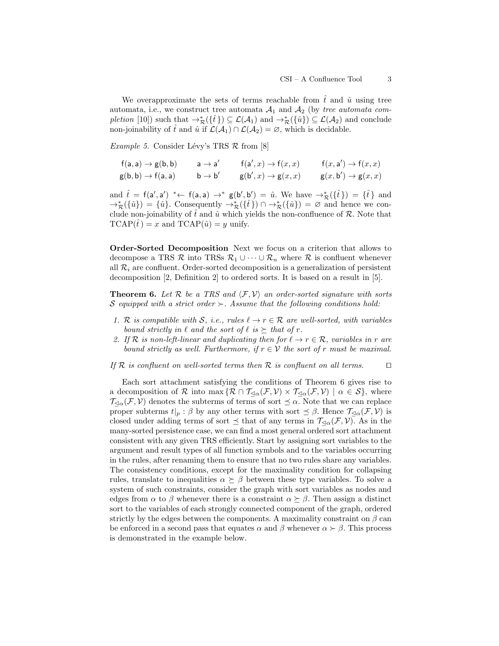We overapproximate the sets of terms reachable from  $\hat{t}$  and  $\hat{u}$  using tree automata, i.e., we construct tree automata  $A_1$  and  $A_2$  (by tree automata completion [10]) such that  $\rightarrow_{\mathcal{R}}^*({\{\hat{t}\}}) \subseteq \mathcal{L}(\mathcal{A}_1)$  and  $\rightarrow_{\mathcal{R}}^*({\{\hat{u}\}}) \subseteq \mathcal{L}(\mathcal{A}_2)$  and conclude non-joinability of  $\hat{t}$  and  $\hat{u}$  if  $\mathcal{L}(\mathcal{A}_1) \cap \mathcal{L}(\mathcal{A}_2) = \emptyset$ , which is decidable.

*Example 5.* Consider Lévy's TRS  $\mathcal{R}$  from [8]

$$
\begin{array}{llll}\n\mathsf{f}(\mathsf{a},\mathsf{a}) \rightarrow \mathsf{g}(\mathsf{b},\mathsf{b}) & \mathsf{a} \rightarrow \mathsf{a}' & \mathsf{f}(\mathsf{a}',x) \rightarrow \mathsf{f}(x,x) & \mathsf{f}(x,\mathsf{a}') \rightarrow \mathsf{f}(x,x) \\
\mathsf{g}(\mathsf{b},\mathsf{b}) \rightarrow \mathsf{f}(\mathsf{a},\mathsf{a}) & \mathsf{b} \rightarrow \mathsf{b}' & \mathsf{g}(\mathsf{b}',x) \rightarrow \mathsf{g}(x,x) & \mathsf{g}(x,\mathsf{b}') \rightarrow \mathsf{g}(x,x)\n\end{array}
$$

and  $\hat{t} = f(a', a') \dashleftarrow f(a, a) \rightarrow^* g(b', b') = \hat{u}$ . We have  $\rightarrow^*_{\mathcal{R}}(\{\hat{t}\}) = \{\hat{t}\}\$ and  $\rightarrow_{\mathcal{R}}^*({\hat{u}}) = {\hat{u}}.$  Consequently  $\rightarrow_{\mathcal{R}}^*({\hat{t}}) \cap \rightarrow_{\mathcal{R}}^*({\hat{u}}) = \emptyset$  and hence we conclude non-joinability of  $\hat{t}$  and  $\hat{u}$  which yields the non-confluence of  $\mathcal{R}$ . Note that  $TCAP(\hat{t}) = x$  and  $TCAP(\hat{u}) = y$  unify.

Order-Sorted Decomposition Next we focus on a criterion that allows to decompose a TRS  $\mathcal R$  into TRSs  $\mathcal R_1 \cup \cdots \cup \mathcal R_n$  where  $\mathcal R$  is confluent whenever all  $\mathcal{R}_i$  are confluent. Order-sorted decomposition is a generalization of persistent decomposition [2, Definition 2] to ordered sorts. It is based on a result in [5].

**Theorem 6.** Let R be a TRS and  $\langle \mathcal{F}, \mathcal{V} \rangle$  an order-sorted signature with sorts S equipped with a strict order  $\succ$ . Assume that the following conditions hold:

- 1. R is compatible with S, i.e., rules  $\ell \to r \in \mathcal{R}$  are well-sorted, with variables bound strictly in  $\ell$  and the sort of  $\ell$  is  $\succeq$  that of r.
- 2. If R is non-left-linear and duplicating then for  $\ell \to r \in \mathcal{R}$ , variables in r are bound strictly as well. Furthermore, if  $r \in V$  the sort of r must be maximal.

If R is confluent on well-sorted terms then R is confluent on all terms.  $\square$ 

Each sort attachment satisfying the conditions of Theorem 6 gives rise to a decomposition of R into max  $\{ \mathcal{R} \cap \mathcal{T}_{\lhd \alpha}(\mathcal{F}, \mathcal{V}) \times \mathcal{T}_{\lhd \alpha}(\mathcal{F}, \mathcal{V}) \mid \alpha \in \mathcal{S} \}$ , where  $\mathcal{T}_{\leq \alpha}(\mathcal{F}, \mathcal{V})$  denotes the subterms of terms of sort  $\preceq \alpha$ . Note that we can replace proper subterms  $t|_p : \beta$  by any other terms with sort  $\preceq \beta$ . Hence  $\mathcal{T}_{\preceq \alpha}(\mathcal{F}, \mathcal{V})$  is closed under adding terms of sort  $\preceq$  that of any terms in  $\mathcal{T}_{\preceq\alpha}(\mathcal{F}, \mathcal{V})$ . As in the many-sorted persistence case, we can find a most general ordered sort attachment consistent with any given TRS efficiently. Start by assigning sort variables to the argument and result types of all function symbols and to the variables occurring in the rules, after renaming them to ensure that no two rules share any variables. The consistency conditions, except for the maximality condition for collapsing rules, translate to inequalities  $\alpha \succeq \beta$  between these type variables. To solve a system of such constraints, consider the graph with sort variables as nodes and edges from  $\alpha$  to  $\beta$  whenever there is a constraint  $\alpha \succeq \beta$ . Then assign a distinct sort to the variables of each strongly connected component of the graph, ordered strictly by the edges between the components. A maximality constraint on  $\beta$  can be enforced in a second pass that equates  $\alpha$  and  $\beta$  whenever  $\alpha \succ \beta$ . This process is demonstrated in the example below.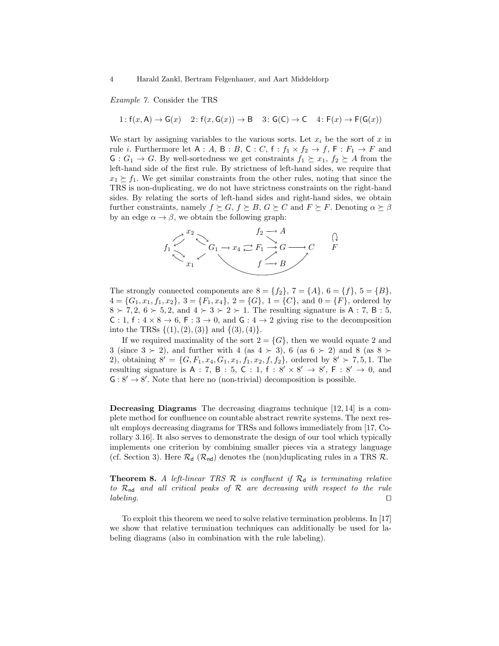Example 7. Consider the TRS

$$
1\colon \mathsf{f}(x,\mathsf{A})\to \mathsf{G}(x) \quad 2\colon \mathsf{f}(x,\mathsf{G}(x))\to \mathsf{B} \quad 3\colon \mathsf{G}(\mathsf{C})\to \mathsf{C} \quad 4\colon \mathsf{F}(x)\to \mathsf{F}(\mathsf{G}(x))
$$

We start by assigning variables to the various sorts. Let  $x_i$  be the sort of x in rule *i*. Furthermore let  $A : A, B : B, C : C, f : f_1 \times f_2 \to f, F : F_1 \to F$  and  $G: G_1 \to G$ . By well-sortedness we get constraints  $f_1 \succeq x_1, f_2 \succeq A$  from the left-hand side of the first rule. By strictness of left-hand sides, we require that  $x_1 \geq f_1$ . We get similar constraints from the other rules, noting that since the TRS is non-duplicating, we do not have strictness constraints on the right-hand sides. By relating the sorts of left-hand sides and right-hand sides, we obtain further constraints, namely  $f \succeq G$ ,  $f \succeq B$ ,  $G \succeq C$  and  $F \succeq F$ . Denoting  $\alpha \succeq \beta$ by an edge  $\alpha \rightarrow \beta$ , we obtain the following graph:



The strongly connected components are  $8 = \{f_2\}, 7 = \{A\}, 6 = \{f\}, 5 = \{B\},\$  $4 = \{G_1, x_1, f_1, x_2\}, 3 = \{F_1, x_4\}, 2 = \{G\}, 1 = \{C\}, \text{ and } 0 = \{F\}, \text{ ordered by}$  $8 \succ 7, 2, 6 \succ 5, 2, \text{ and } 4 \succ 3 \succ 2 \succ 1.$  The resulting signature is A : 7, B : 5, C : 1, f :  $4 \times 8 \rightarrow 6$ , F :  $3 \rightarrow 0$ , and G :  $4 \rightarrow 2$  giving rise to the decomposition into the TRSs  $\{(1), (2), (3)\}\$  and  $\{(3), (4)\}.$ 

If we required maximality of the sort  $2 = \{G\}$ , then we would equate 2 and 3 (since  $3 \succ 2$ ), and further with 4 (as  $4 \succ 3$ ), 6 (as  $6 \succ 2$ ) and 8 (as  $8 \succ$ 2), obtaining  $8' = \{G, F_1, x_4, G_1, x_1, f_1, x_2, f, f_2\}$ , ordered by  $8' \succ 7, 5, 1$ . The resulting signature is A : 7, B : 5, C : 1, f :  $8' \times 8' \rightarrow 8'$ , F :  $8' \rightarrow 0$ , and  $G: 8' \rightarrow 8'$ . Note that here no (non-trivial) decomposition is possible.

Decreasing Diagrams The decreasing diagrams technique [12, 14] is a complete method for confluence on countable abstract rewrite systems. The next result employs decreasing diagrams for TRSs and follows immediately from [17, Corollary 3.16]. It also serves to demonstrate the design of our tool which typically implements one criterion by combining smaller pieces via a strategy language (cf. Section 3). Here  $\mathcal{R}_{d}$  ( $\mathcal{R}_{nd}$ ) denotes the (non)duplicating rules in a TRS  $\mathcal{R}$ .

**Theorem 8.** A left-linear TRS  $\mathcal{R}$  is confluent if  $\mathcal{R}_{d}$  is terminating relative to  $\mathcal{R}_{nd}$  and all critical peaks of  $\mathcal R$  are decreasing with respect to the rule  $labeling.$ 

To exploit this theorem we need to solve relative termination problems. In [17] we show that relative termination techniques can additionally be used for labeling diagrams (also in combination with the rule labeling).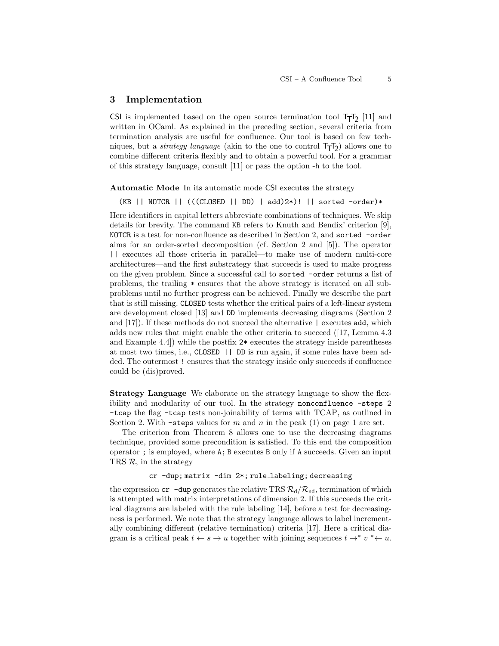#### 3 Implementation

CSI is implemented based on the open source termination tool  $T_TT_2$  [11] and written in OCaml. As explained in the preceding section, several criteria from termination analysis are useful for confluence. Our tool is based on few techniques, but a *strategy language* (akin to the one to control  $T_{\overline{1}}T_{2}$ ) allows one to combine different criteria flexibly and to obtain a powerful tool. For a grammar of this strategy language, consult [11] or pass the option -h to the tool.

Automatic Mode In its automatic mode CSI executes the strategy

(KB || NOTCR || (((CLOSED || DD) | add)2\*)! || sorted -order)\*

Here identifiers in capital letters abbreviate combinations of techniques. We skip details for brevity. The command KB refers to Knuth and Bendix' criterion [9], NOTCR is a test for non-confluence as described in Section 2, and sorted -order aims for an order-sorted decomposition (cf. Section 2 and [5]). The operator || executes all those criteria in parallel—to make use of modern multi-core architectures—and the first substrategy that succeeds is used to make progress on the given problem. Since a successful call to sorted -order returns a list of problems, the trailing \* ensures that the above strategy is iterated on all subproblems until no further progress can be achieved. Finally we describe the part that is still missing. CLOSED tests whether the critical pairs of a left-linear system are development closed [13] and DD implements decreasing diagrams (Section 2 and [17]). If these methods do not succeed the alternative | executes add, which adds new rules that might enable the other criteria to succeed ([17, Lemma 4.3 and Example 4.4]) while the postfix 2\* executes the strategy inside parentheses at most two times, i.e., CLOSED || DD is run again, if some rules have been added. The outermost ! ensures that the strategy inside only succeeds if confluence could be (dis)proved.

Strategy Language We elaborate on the strategy language to show the flexibility and modularity of our tool. In the strategy nonconfluence -steps 2 -tcap the flag -tcap tests non-joinability of terms with TCAP, as outlined in Section 2. With -steps values for m and n in the peak (1) on page 1 are set.

The criterion from Theorem 8 allows one to use the decreasing diagrams technique, provided some precondition is satisfied. To this end the composition operator ; is employed, where A; B executes B only if A succeeds. Given an input TRS  $\mathcal{R}$ , in the strategy

cr -dup; matrix -dim 2\*; rule labeling; decreasing

the expression  $cr$  -dup generates the relative TRS  $\mathcal{R}_d/\mathcal{R}_{nd}$ , termination of which is attempted with matrix interpretations of dimension 2. If this succeeds the critical diagrams are labeled with the rule labeling [14], before a test for decreasingness is performed. We note that the strategy language allows to label incrementally combining different (relative termination) criteria [17]. Here a critical diagram is a critical peak  $t \leftarrow s \rightarrow u$  together with joining sequences  $t \rightarrow^* v^* \leftarrow u$ .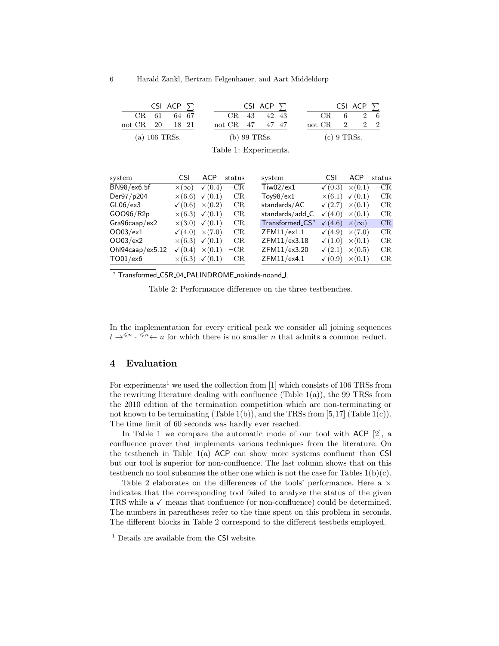|                 |  | CSI ACP $\Sigma$ |  |                 |              | CSI ACP $\Sigma$ |  |  |                      |  | CSI ACP $\Sigma$             |  |  |
|-----------------|--|------------------|--|-----------------|--------------|------------------|--|--|----------------------|--|------------------------------|--|--|
|                 |  | CR 61 64 67      |  |                 |              | CR 43 42 43      |  |  |                      |  | $CR \quad 6 \quad 2 \quad 6$ |  |  |
| not CR 20 18 21 |  |                  |  | not CR 47 47 47 |              |                  |  |  | not CR $2 \t 2 \t 2$ |  |                              |  |  |
| $(a)$ 106 TRSs. |  |                  |  |                 | (b) 99 TRSs. |                  |  |  | $(c)$ 9 TRSs.        |  |                              |  |  |

| system                   | CSI. | ACP.                                  | status    | system                                              | <b>CSI</b>                            | ACP | status    |
|--------------------------|------|---------------------------------------|-----------|-----------------------------------------------------|---------------------------------------|-----|-----------|
| BN98/ex6.5f              |      | $\times (\infty)$ $\checkmark$ (0.4)  | $\neg$ CR | $T_{iw02}/ext{ex1}$                                 | $\checkmark$ (0.3) $\times$ (0.1)     |     | $\neg$ CR |
| Der97/p204               |      | $\times (6.6)$ $\checkmark$ (0.1)     | CR        | $\mathsf{Toy98}/\mathsf{ex1}$                       | $\times (6.1) \quad \checkmark (0.1)$ |     | CR        |
| $GL06$ /ex $3$           |      | $\sqrt{(0.6)} \times (0.2)$           | CR        | standards/AC                                        | $\sqrt{(2.7)} \times (0.1)$           |     | CR        |
| GOO96/R2p                |      | $\times (6.3)$ $\checkmark$ (0.1)     | CR        | standards/add_C                                     | $\sqrt{(4.0)} \times (0.1)$           |     | CR        |
| Gra96caap/ex2            |      | $\times$ (3.0) $\times$ (0.1)         | CR        | $\mathsf{T}$ ransformed_ $\mathsf{CS}^{\mathit{a}}$ | $\sqrt{(4.6)} \times (\infty)$        |     | CR        |
| OO03/ex1                 |      | $\sqrt{(4.0)} \times (7.0)$           | CR        | ZFM11/ex1.1                                         | $\sqrt{(4.9)} \times (7.0)$           |     | CR        |
| OO03/ex2                 |      | $\times (6.3)$ $\checkmark$ (0.1)     | CR        | ZFM11/ex3.18                                        | $\sqrt{(1.0)} \times (0.1)$           |     | CR        |
| Ohl $94$ caap/ex $5.12$  |      | $\sqrt{(0.4)} \times (0.1)$           | $\neg$ CR | ZFM11/ex3.20                                        | $\sqrt{(2.1)} \times (0.5)$           |     | CR        |
| $\text{TO01}/\text{ex6}$ |      | $\times (6.3) \quad \checkmark (0.1)$ | CR        | ZFM11/ex4.1                                         | $\sqrt{(0.9)} \times (0.1)$           |     | CR        |

Table 1: Experiments.

<sup>a</sup> Transformed CSR 04 PALINDROME nokinds-noand L

Table 2: Performance difference on the three testbenches.

In the implementation for every critical peak we consider all joining sequences  $t \to^{\leq n} \cdot \overline{1} \leftarrow u$  for which there is no smaller *n* that admits a common reduct.

## 4 Evaluation

For experiments<sup>1</sup> we used the collection from [1] which consists of 106 TRSs from the rewriting literature dealing with confluence (Table  $1(a)$ ), the 99 TRSs from the 2010 edition of the termination competition which are non-terminating or not known to be terminating (Table 1(b)), and the TRSs from  $[5,17]$  (Table 1(c)). The time limit of 60 seconds was hardly ever reached.

In Table 1 we compare the automatic mode of our tool with ACP [2], a confluence prover that implements various techniques from the literature. On the testbench in Table  $1(a)$  ACP can show more systems confluent than CSI but our tool is superior for non-confluence. The last column shows that on this testbench no tool subsumes the other one which is not the case for Tables  $1(b)(c)$ .

Table 2 elaborates on the differences of the tools' performance. Here a  $\times$ indicates that the corresponding tool failed to analyze the status of the given TRS while a  $\checkmark$  means that confluence (or non-confluence) could be determined. The numbers in parentheses refer to the time spent on this problem in seconds. The different blocks in Table 2 correspond to the different testbeds employed.

<sup>&</sup>lt;sup>1</sup> Details are available from the CSI website.